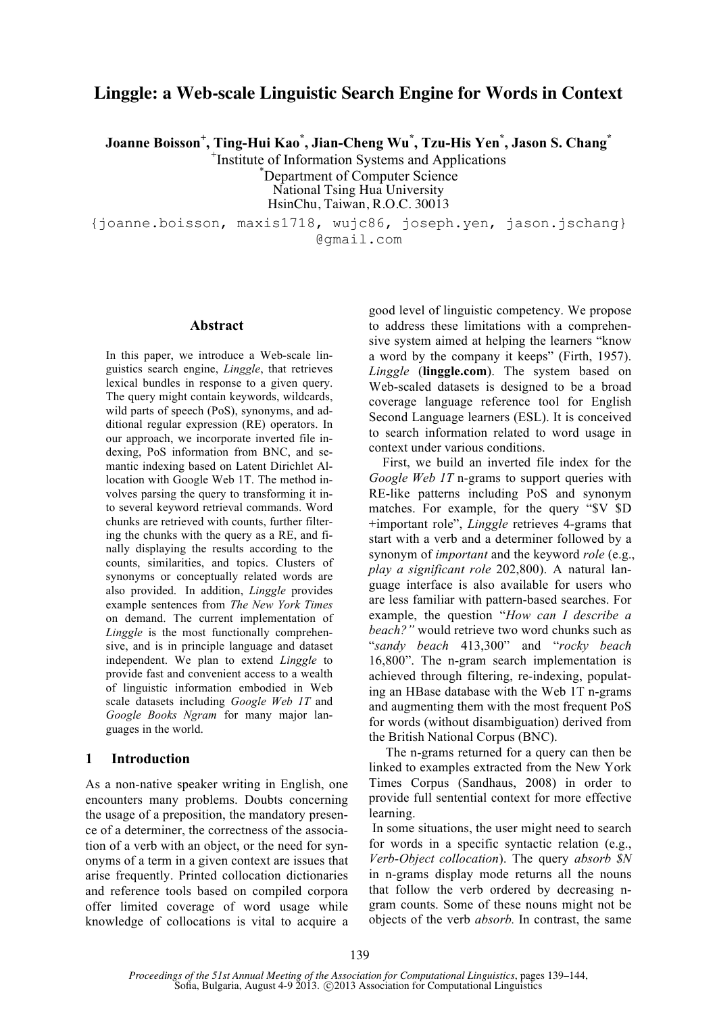# **Linggle: a Web-scale Linguistic Search Engine for Words in Context**

**Joanne Boisson<sup>+</sup> , Ting-Hui Kao\* , Jian-Cheng Wu\* , Tzu-His Yen\* , Jason S. Chang\***

<sup>+</sup>Institute of Information Systems and Applications

Department of Computer Science

National Tsing Hua University HsinChu, Taiwan, R.O.C. 30013

{joanne.boisson, maxis1718, wujc86, joseph.yen, jason.jschang} @gmail.com

#### **Abstract**

In this paper, we introduce a Web-scale linguistics search engine, *Linggle*, that retrieves lexical bundles in response to a given query. The query might contain keywords, wildcards, wild parts of speech (PoS), synonyms, and additional regular expression (RE) operators. In our approach, we incorporate inverted file indexing, PoS information from BNC, and semantic indexing based on Latent Dirichlet Allocation with Google Web 1T. The method involves parsing the query to transforming it into several keyword retrieval commands. Word chunks are retrieved with counts, further filtering the chunks with the query as a RE, and finally displaying the results according to the counts, similarities, and topics. Clusters of synonyms or conceptually related words are also provided. In addition, *Linggle* provides example sentences from *The New York Times* on demand. The current implementation of *Linggle* is the most functionally comprehensive, and is in principle language and dataset independent. We plan to extend *Linggle* to provide fast and convenient access to a wealth of linguistic information embodied in Web scale datasets including *Google Web 1T* and *Google Books Ngram* for many major languages in the world.

# **1 Introduction**

As a non-native speaker writing in English, one encounters many problems. Doubts concerning the usage of a preposition, the mandatory presence of a determiner, the correctness of the association of a verb with an object, or the need for synonyms of a term in a given context are issues that arise frequently. Printed collocation dictionaries and reference tools based on compiled corpora offer limited coverage of word usage while knowledge of collocations is vital to acquire a good level of linguistic competency. We propose to address these limitations with a comprehensive system aimed at helping the learners "know a word by the company it keeps" (Firth, 1957). *Linggle* (**linggle.com**). The system based on Web-scaled datasets is designed to be a broad coverage language reference tool for English Second Language learners (ESL). It is conceived to search information related to word usage in context under various conditions.

First, we build an inverted file index for the *Google Web 1T* n-grams to support queries with RE-like patterns including PoS and synonym matches. For example, for the query "\$V \$D +important role", *Linggle* retrieves 4-grams that start with a verb and a determiner followed by a synonym of *important* and the keyword *role* (e.g., *play a significant role* 202,800). A natural language interface is also available for users who are less familiar with pattern-based searches. For example, the question "*How can I describe a beach?"* would retrieve two word chunks such as "*sandy beach* 413,300" and "*rocky beach* 16,800". The n-gram search implementation is achieved through filtering, re-indexing, populating an HBase database with the Web 1T n-grams and augmenting them with the most frequent PoS for words (without disambiguation) derived from the British National Corpus (BNC).

The n-grams returned for a query can then be linked to examples extracted from the New York Times Corpus (Sandhaus, 2008) in order to provide full sentential context for more effective learning.

In some situations, the user might need to search for words in a specific syntactic relation (e.g., *Verb-Object collocation*). The query *absorb \$N* in n-grams display mode returns all the nouns that follow the verb ordered by decreasing ngram counts. Some of these nouns might not be objects of the verb *absorb.* In contrast, the same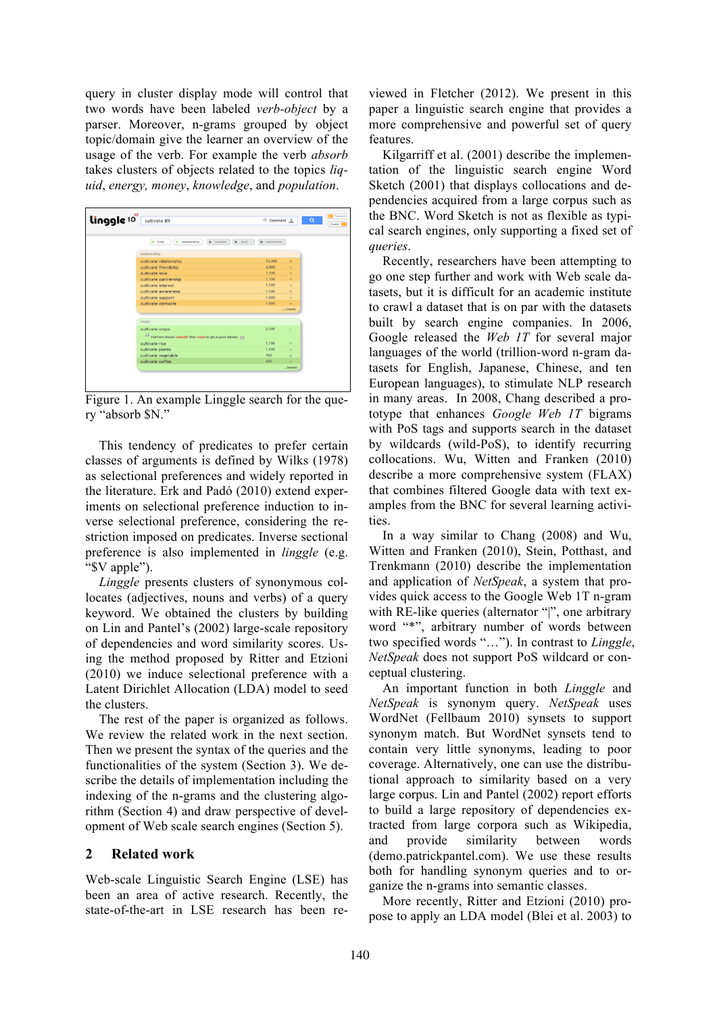query in cluster display mode will control that two words have been labeled *verb-object* by a parser. Moreover, n-grams grouped by object topic/domain give the learner an overview of the usage of the verb. For example the verb *absorb* takes clusters of objects related to the topics *liquid*, *energy, money*, *knowledge*, and *population*.

| linggle <sup>10</sup> | cultivate \$N                                                                       | Command <sub>1</sub> |        | Q |
|-----------------------|-------------------------------------------------------------------------------------|----------------------|--------|---|
|                       | relationship<br>$\bullet$<br><b>0</b> tourism<br><b>o</b> land<br>crop<br>$\bullet$ | <b>O</b> community   |        |   |
|                       | relationship                                                                        |                      |        |   |
|                       | cultivate relationship                                                              | 10,200               | ÷      |   |
|                       | cultivate friendship                                                                | 2,800                | ÷      |   |
|                       | cultivate love                                                                      | 1,700                | $+$    |   |
|                       | cultivate partnership                                                               | 1,100                | ÷      |   |
|                       | cultivate interest                                                                  | 1,500                | $+$    |   |
|                       | cultivate awareness                                                                 | 1,500                | ÷      |   |
|                       | cultivate support                                                                   | 1,000                | ÷      |   |
|                       | cultivate contacts                                                                  | 1,000                | ÷      |   |
|                       |                                                                                     |                      | (more) |   |
|                       | crops                                                                               |                      |        |   |
|                       |                                                                                     |                      |        |   |
|                       | cultivate crops                                                                     | 3.300                |        |   |
|                       | fifi Farmers should cultivate their crops to get a good harvest. ##                 |                      |        |   |
|                       | cultivate rice                                                                      | 1.700                | ÷      |   |
|                       | cultivate plants                                                                    | 1,400                | ÷      |   |
|                       | cultivate vegetable                                                                 | 900                  | ÷      |   |
|                       | cultivate coffee                                                                    | 600                  | ÷.     |   |
|                       |                                                                                     |                      | (more) |   |

Figure 1. An example Linggle search for the query "absorb \$N."

This tendency of predicates to prefer certain classes of arguments is defined by Wilks (1978) as selectional preferences and widely reported in the literature. Erk and Padó (2010) extend experiments on selectional preference induction to inverse selectional preference, considering the restriction imposed on predicates. Inverse sectional preference is also implemented in *linggle* (e.g. "\$V apple").

*Linggle* presents clusters of synonymous collocates (adjectives, nouns and verbs) of a query keyword. We obtained the clusters by building on Lin and Pantel's (2002) large-scale repository of dependencies and word similarity scores. Using the method proposed by Ritter and Etzioni (2010) we induce selectional preference with a Latent Dirichlet Allocation (LDA) model to seed the clusters.

The rest of the paper is organized as follows. We review the related work in the next section. Then we present the syntax of the queries and the functionalities of the system (Section 3). We describe the details of implementation including the indexing of the n-grams and the clustering algorithm (Section 4) and draw perspective of development of Web scale search engines (Section 5).

#### **2 Related work**

Web-scale Linguistic Search Engine (LSE) has been an area of active research. Recently, the state-of-the-art in LSE research has been re-

viewed in Fletcher (2012). We present in this paper a linguistic search engine that provides a more comprehensive and powerful set of query features.

Kilgarriff et al. (2001) describe the implementation of the linguistic search engine Word Sketch (2001) that displays collocations and dependencies acquired from a large corpus such as the BNC. Word Sketch is not as flexible as typical search engines, only supporting a fixed set of *queries*.

Recently, researchers have been attempting to go one step further and work with Web scale datasets, but it is difficult for an academic institute to crawl a dataset that is on par with the datasets built by search engine companies. In 2006, Google released the *Web 1T* for several major languages of the world (trillion-word n-gram datasets for English, Japanese, Chinese, and ten European languages), to stimulate NLP research in many areas. In 2008, Chang described a prototype that enhances *Google Web 1T* bigrams with PoS tags and supports search in the dataset by wildcards (wild-PoS), to identify recurring collocations. Wu, Witten and Franken (2010) describe a more comprehensive system (FLAX) that combines filtered Google data with text examples from the BNC for several learning activities.

In a way similar to Chang (2008) and Wu, Witten and Franken (2010), Stein, Potthast, and Trenkmann (2010) describe the implementation and application of *NetSpeak*, a system that provides quick access to the Google Web 1T n-gram with RE-like queries (alternator "|", one arbitrary word "\*", arbitrary number of words between two specified words "…"). In contrast to *Linggle*, *NetSpeak* does not support PoS wildcard or conceptual clustering.

An important function in both *Linggle* and *NetSpeak* is synonym query. *NetSpeak* uses WordNet (Fellbaum 2010) synsets to support synonym match. But WordNet synsets tend to contain very little synonyms, leading to poor coverage. Alternatively, one can use the distributional approach to similarity based on a very large corpus. Lin and Pantel (2002) report efforts to build a large repository of dependencies extracted from large corpora such as Wikipedia, and provide similarity between words (demo.patrickpantel.com). We use these results both for handling synonym queries and to organize the n-grams into semantic classes.

More recently, Ritter and Etzioni (2010) propose to apply an LDA model (Blei et al. 2003) to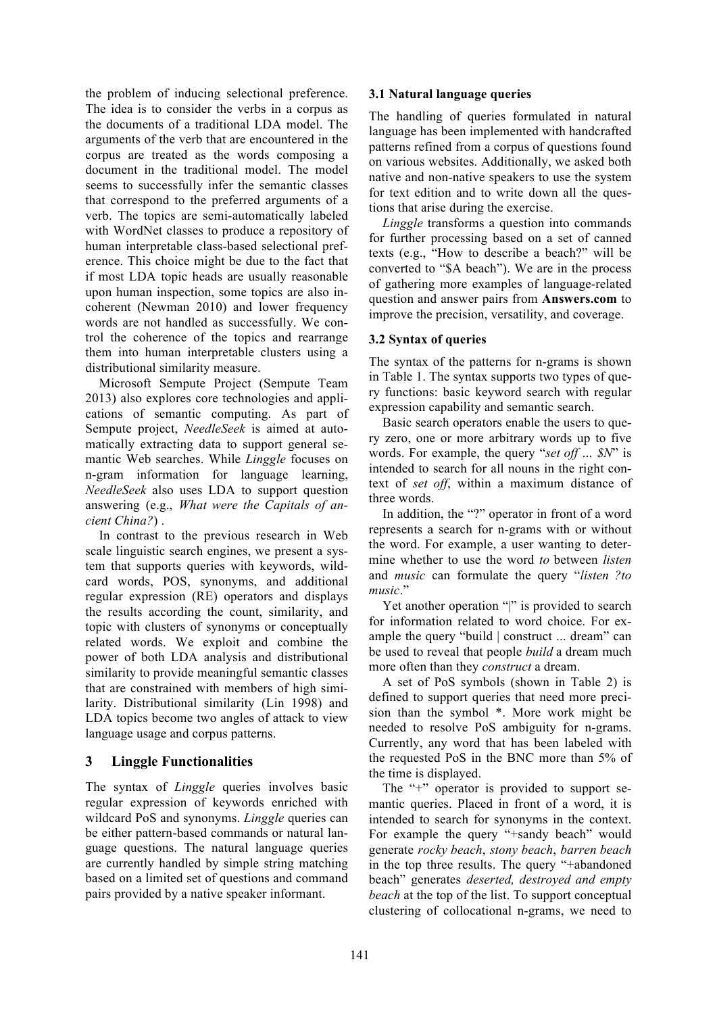the problem of inducing selectional preference. The idea is to consider the verbs in a corpus as the documents of a traditional LDA model. The arguments of the verb that are encountered in the corpus are treated as the words composing a document in the traditional model. The model seems to successfully infer the semantic classes that correspond to the preferred arguments of a verb. The topics are semi-automatically labeled with WordNet classes to produce a repository of human interpretable class-based selectional preference. This choice might be due to the fact that if most LDA topic heads are usually reasonable upon human inspection, some topics are also incoherent (Newman 2010) and lower frequency words are not handled as successfully. We control the coherence of the topics and rearrange them into human interpretable clusters using a distributional similarity measure.

Microsoft Sempute Project (Sempute Team 2013) also explores core technologies and applications of semantic computing. As part of Sempute project, *NeedleSeek* is aimed at automatically extracting data to support general semantic Web searches. While *Linggle* focuses on n-gram information for language learning, *NeedleSeek* also uses LDA to support question answering (e.g., *What were the Capitals of ancient China?*) .

In contrast to the previous research in Web scale linguistic search engines, we present a system that supports queries with keywords, wildcard words, POS, synonyms, and additional regular expression (RE) operators and displays the results according the count, similarity, and topic with clusters of synonyms or conceptually related words. We exploit and combine the power of both LDA analysis and distributional similarity to provide meaningful semantic classes that are constrained with members of high similarity. Distributional similarity (Lin 1998) and LDA topics become two angles of attack to view language usage and corpus patterns.

# **3 Linggle Functionalities**

The syntax of *Linggle* queries involves basic regular expression of keywords enriched with wildcard PoS and synonyms. *Linggle* queries can be either pattern-based commands or natural language questions. The natural language queries are currently handled by simple string matching based on a limited set of questions and command pairs provided by a native speaker informant.

## **3.1 Natural language queries**

The handling of queries formulated in natural language has been implemented with handcrafted patterns refined from a corpus of questions found on various websites. Additionally, we asked both native and non-native speakers to use the system for text edition and to write down all the questions that arise during the exercise.

*Linggle* transforms a question into commands for further processing based on a set of canned texts (e.g., "How to describe a beach?" will be converted to "\$A beach"). We are in the process of gathering more examples of language-related question and answer pairs from **Answers.com** to improve the precision, versatility, and coverage.

## **3.2 Syntax of queries**

The syntax of the patterns for n-grams is shown in Table 1. The syntax supports two types of query functions: basic keyword search with regular expression capability and semantic search.

Basic search operators enable the users to query zero, one or more arbitrary words up to five words. For example, the query "*set off … \$N*" is intended to search for all nouns in the right context of *set off*, within a maximum distance of three words.

In addition, the "?" operator in front of a word represents a search for n-grams with or without the word. For example, a user wanting to determine whether to use the word *to* between *listen* and *music* can formulate the query "*listen ?to music*."

Yet another operation "|" is provided to search for information related to word choice. For example the query "build | construct ... dream" can be used to reveal that people *build* a dream much more often than they *construct* a dream.

A set of PoS symbols (shown in Table 2) is defined to support queries that need more precision than the symbol \*. More work might be needed to resolve PoS ambiguity for n-grams. Currently, any word that has been labeled with the requested PoS in the BNC more than 5% of the time is displayed.

The "+" operator is provided to support semantic queries. Placed in front of a word, it is intended to search for synonyms in the context. For example the query "+sandy beach" would generate *rocky beach*, *stony beach*, *barren beach* in the top three results. The query "+abandoned beach" generates *deserted, destroyed and empty beach* at the top of the list. To support conceptual clustering of collocational n-grams, we need to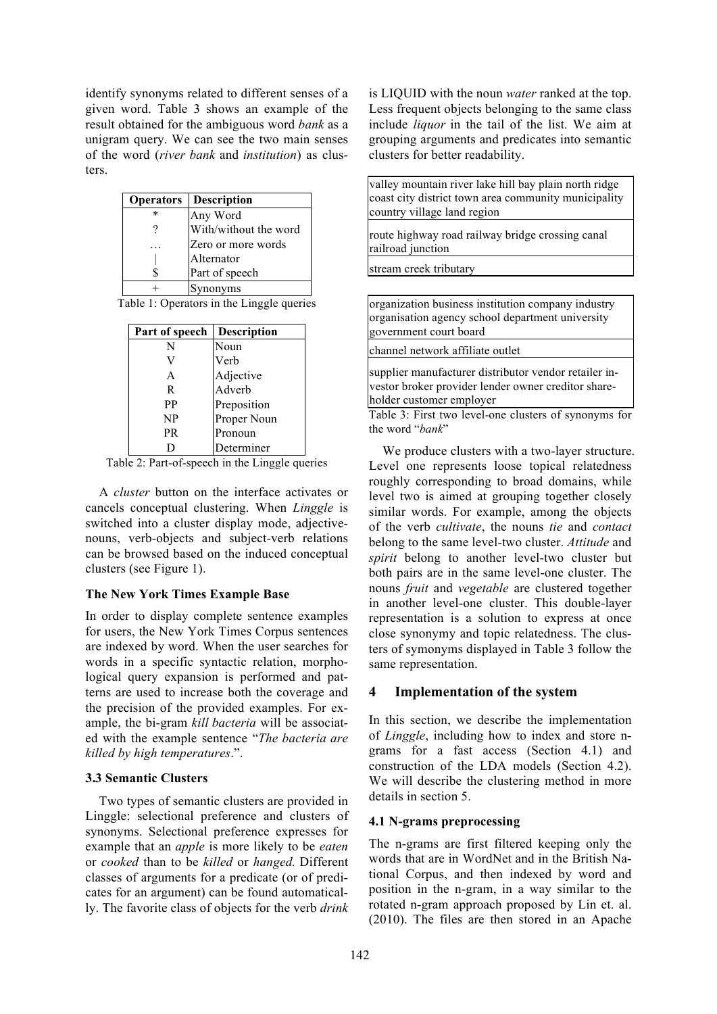identify synonyms related to different senses of a given word. Table 3 shows an example of the result obtained for the ambiguous word *bank* as a unigram query. We can see the two main senses of the word (*river bank* and *institution*) as clusters.

| <b>Operators</b> | <b>Description</b>    |
|------------------|-----------------------|
| $\ast$           | Any Word              |
|                  | With/without the word |
|                  | Zero or more words    |
|                  | Alternator            |
| S                | Part of speech        |
|                  | Synonyms              |
|                  |                       |

Table 1: Operators in the Linggle queries

| Part of speech | <b>Description</b> |
|----------------|--------------------|
| N              | Noun               |
|                | Verb               |
| A              | Adjective          |
| R              | Adverb             |
| PP             | Preposition        |
| NP             | Proper Noun        |
| <b>PR</b>      | Pronoun            |
|                | Determiner         |

Table 2: Part-of-speech in the Linggle queries

A *cluster* button on the interface activates or cancels conceptual clustering. When *Linggle* is switched into a cluster display mode, adjectivenouns, verb-objects and subject-verb relations can be browsed based on the induced conceptual clusters (see Figure 1).

#### **The New York Times Example Base**

In order to display complete sentence examples for users, the New York Times Corpus sentences are indexed by word. When the user searches for words in a specific syntactic relation, morphological query expansion is performed and patterns are used to increase both the coverage and the precision of the provided examples. For example, the bi-gram *kill bacteria* will be associated with the example sentence "*The bacteria are killed by high temperatures*.".

#### **3.3 Semantic Clusters**

Two types of semantic clusters are provided in Linggle: selectional preference and clusters of synonyms. Selectional preference expresses for example that an *apple* is more likely to be *eaten* or *cooked* than to be *killed* or *hanged.* Different classes of arguments for a predicate (or of predicates for an argument) can be found automatically. The favorite class of objects for the verb *drink*

is LIQUID with the noun *water* ranked at the top. Less frequent objects belonging to the same class include *liquor* in the tail of the list. We aim at grouping arguments and predicates into semantic clusters for better readability.

valley mountain river lake hill bay plain north ridge coast city district town area community municipality country village land region

route highway road railway bridge crossing canal railroad junction

stream creek tributary

organization business institution company industry organisation agency school department university government court board

channel network affiliate outlet

supplier manufacturer distributor vendor retailer investor broker provider lender owner creditor shareholder customer employer

Table 3: First two level-one clusters of synonyms for the word "*bank*"

We produce clusters with a two-layer structure. Level one represents loose topical relatedness roughly corresponding to broad domains, while level two is aimed at grouping together closely similar words. For example, among the objects of the verb *cultivate*, the nouns *tie* and *contact* belong to the same level-two cluster. *Attitude* and *spirit* belong to another level-two cluster but both pairs are in the same level-one cluster. The nouns *fruit* and *vegetable* are clustered together in another level-one cluster. This double-layer representation is a solution to express at once close synonymy and topic relatedness. The clusters of symonyms displayed in Table 3 follow the same representation.

#### **4 Implementation of the system**

In this section, we describe the implementation of *Linggle*, including how to index and store ngrams for a fast access (Section 4.1) and construction of the LDA models (Section 4.2). We will describe the clustering method in more details in section 5.

#### **4.1 N-grams preprocessing**

The n-grams are first filtered keeping only the words that are in WordNet and in the British National Corpus, and then indexed by word and position in the n-gram, in a way similar to the rotated n-gram approach proposed by Lin et. al. (2010). The files are then stored in an Apache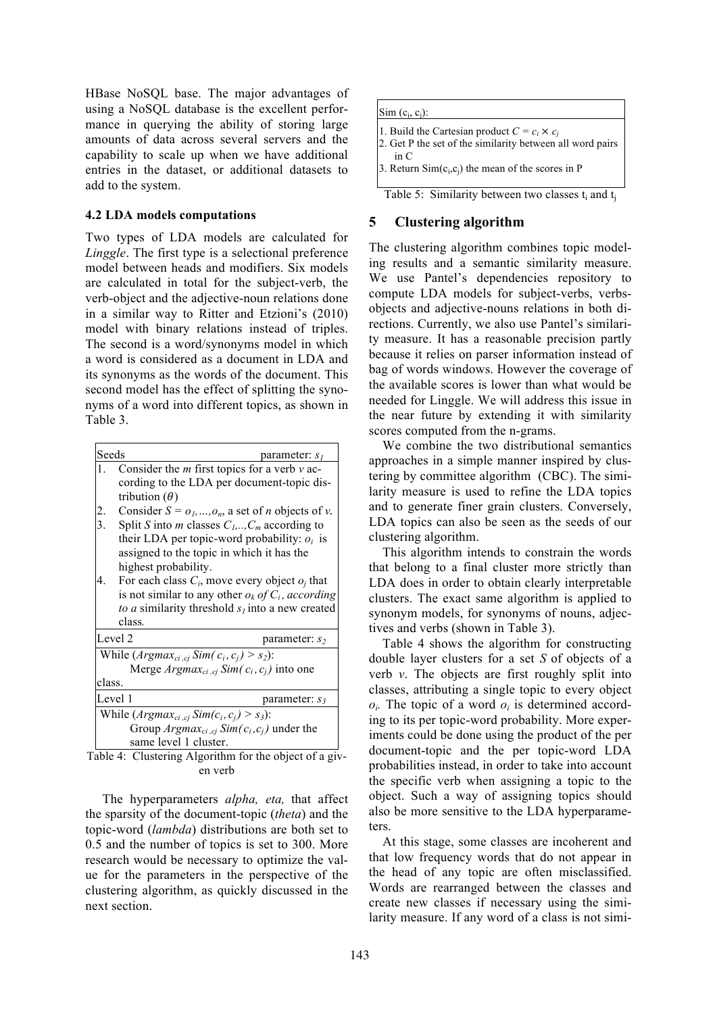HBase NoSQL base. The major advantages of using a NoSQL database is the excellent performance in querying the ability of storing large amounts of data across several servers and the capability to scale up when we have additional entries in the dataset, or additional datasets to add to the system.

#### **4.2 LDA models computations**

Two types of LDA models are calculated for *Linggle*. The first type is a selectional preference model between heads and modifiers. Six models are calculated in total for the subject-verb, the verb-object and the adjective-noun relations done in a similar way to Ritter and Etzioni's (2010) model with binary relations instead of triples. The second is a word/synonyms model in which a word is considered as a document in LDA and its synonyms as the words of the document. This second model has the effect of splitting the synonyms of a word into different topics, as shown in Table 3.

| Seeds                                           | parameter: $sl$                                                     |  |  |  |  |
|-------------------------------------------------|---------------------------------------------------------------------|--|--|--|--|
| 1.                                              | Consider the $m$ first topics for a verb $v$ ac-                    |  |  |  |  |
|                                                 | cording to the LDA per document-topic dis-                          |  |  |  |  |
|                                                 | tribution $(\theta)$                                                |  |  |  |  |
|                                                 | Consider $S = o_1, , o_n$ , a set of <i>n</i> objects of <i>v</i> . |  |  |  |  |
| $\frac{2}{3}$ .                                 | Split S into <i>m</i> classes $C_1, \ldots, C_m$ according to       |  |  |  |  |
|                                                 | their LDA per topic-word probability: $o_i$ is                      |  |  |  |  |
|                                                 | assigned to the topic in which it has the                           |  |  |  |  |
|                                                 | highest probability.                                                |  |  |  |  |
| 4.                                              | For each class $C_i$ , move every object $o_i$ that                 |  |  |  |  |
|                                                 | is not similar to any other $o_k$ of $C_i$ , according              |  |  |  |  |
|                                                 | to a similarity threshold $sl$ into a new created                   |  |  |  |  |
|                                                 | class.                                                              |  |  |  |  |
|                                                 | Level 2<br>parameter: $s_2$                                         |  |  |  |  |
| While $(Argmax_{ci, ci} Sim(c_i, c_i) > s_2)$ : |                                                                     |  |  |  |  |
|                                                 | Merge $Argmax_{ci, ci} Sim(c_i, c_i)$ into one                      |  |  |  |  |
| class.                                          |                                                                     |  |  |  |  |
|                                                 | Level 1<br>parameter: $s_3$                                         |  |  |  |  |
| While $(Argmax_{ci, cj} Sim(c_i, c_j) > s_3)$ : |                                                                     |  |  |  |  |
|                                                 | Group $Argmax_{ci, cj} Sim(c_i, c_j)$ under the                     |  |  |  |  |
|                                                 | same level 1 cluster.<br>$\cdot$ $\cdot$                            |  |  |  |  |

Table 4: Clustering Algorithm for the object of a given verb

The hyperparameters *alpha, eta,* that affect the sparsity of the document-topic (*theta*) and the topic-word (*lambda*) distributions are both set to 0.5 and the number of topics is set to 300. More research would be necessary to optimize the value for the parameters in the perspective of the clustering algorithm, as quickly discussed in the next section.

 $Sim (c_i, c_j)$ : 1. Build the Cartesian product  $C = c_i \times c_j$ 2. Get P the set of the similarity between all word pairs in C 3. Return  $Sim(c_i, c_i)$  the mean of the scores in P

# Table 5: Similarity between two classes  $t_i$  and  $t_i$

# **5 Clustering algorithm**

The clustering algorithm combines topic modeling results and a semantic similarity measure. We use Pantel's dependencies repository to compute LDA models for subject-verbs, verbsobjects and adjective-nouns relations in both directions. Currently, we also use Pantel's similarity measure. It has a reasonable precision partly because it relies on parser information instead of bag of words windows. However the coverage of the available scores is lower than what would be needed for Linggle. We will address this issue in the near future by extending it with similarity scores computed from the n-grams.

We combine the two distributional semantics approaches in a simple manner inspired by clustering by committee algorithm (CBC). The similarity measure is used to refine the LDA topics and to generate finer grain clusters. Conversely, LDA topics can also be seen as the seeds of our clustering algorithm.

This algorithm intends to constrain the words that belong to a final cluster more strictly than LDA does in order to obtain clearly interpretable clusters. The exact same algorithm is applied to synonym models, for synonyms of nouns, adjectives and verbs (shown in Table 3).

Table 4 shows the algorithm for constructing double layer clusters for a set *S* of objects of a verb *v*. The objects are first roughly split into classes, attributing a single topic to every object  $o_i$ . The topic of a word  $o_i$  is determined according to its per topic-word probability. More experiments could be done using the product of the per document-topic and the per topic-word LDA probabilities instead, in order to take into account the specific verb when assigning a topic to the object. Such a way of assigning topics should also be more sensitive to the LDA hyperparameters.

At this stage, some classes are incoherent and that low frequency words that do not appear in the head of any topic are often misclassified. Words are rearranged between the classes and create new classes if necessary using the similarity measure. If any word of a class is not simi